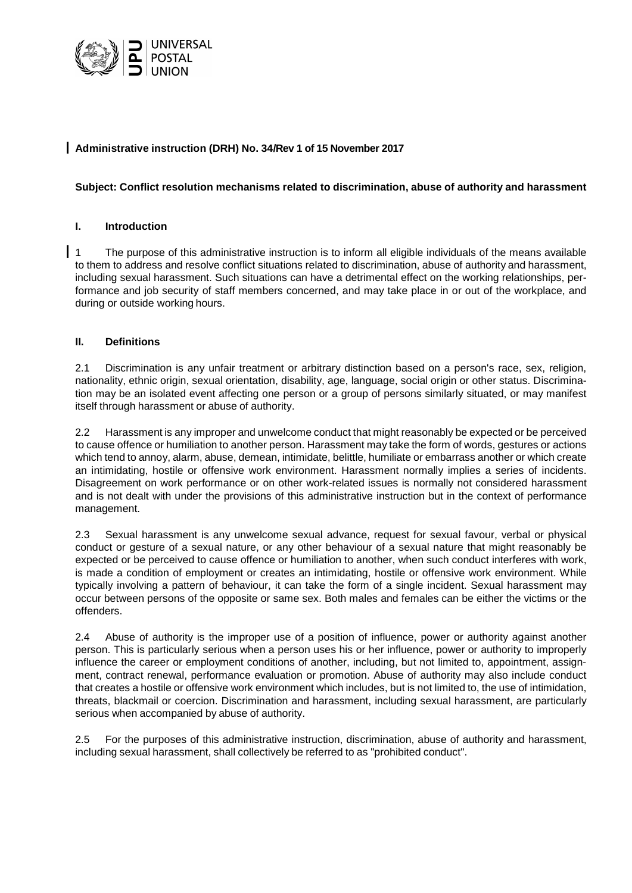

# **Administrative instruction (DRH) No. 34/Rev 1 of 15 November 2017**

## **Subject: Conflict resolution mechanisms related to discrimination, abuse of authority and harassment**

## **I. Introduction**

1 The purpose of this administrative instruction is to inform all eligible individuals of the means available to them to address and resolve conflict situations related to discrimination, abuse of authority and harassment, including sexual harassment. Such situations can have a detrimental effect on the working relationships, performance and job security of staff members concerned, and may take place in or out of the workplace, and during or outside working hours.

## **II. Definitions**

2.1 Discrimination is any unfair treatment or arbitrary distinction based on a person's race, sex, religion, nationality, ethnic origin, sexual orientation, disability, age, language, social origin or other status. Discrimination may be an isolated event affecting one person or a group of persons similarly situated, or may manifest itself through harassment or abuse of authority.

2.2 Harassment is any improper and unwelcome conduct that might reasonably be expected or be perceived to cause offence or humiliation to another person. Harassment may take the form of words, gestures or actions which tend to annoy, alarm, abuse, demean, intimidate, belittle, humiliate or embarrass another or which create an intimidating, hostile or offensive work environment. Harassment normally implies a series of incidents. Disagreement on work performance or on other work-related issues is normally not considered harassment and is not dealt with under the provisions of this administrative instruction but in the context of performance management.

2.3 Sexual harassment is any unwelcome sexual advance, request for sexual favour, verbal or physical conduct or gesture of a sexual nature, or any other behaviour of a sexual nature that might reasonably be expected or be perceived to cause offence or humiliation to another, when such conduct interferes with work, is made a condition of employment or creates an intimidating, hostile or offensive work environment. While typically involving a pattern of behaviour, it can take the form of a single incident. Sexual harassment may occur between persons of the opposite or same sex. Both males and females can be either the victims or the offenders.

2.4 Abuse of authority is the improper use of a position of influence, power or authority against another person. This is particularly serious when a person uses his or her influence, power or authority to improperly influence the career or employment conditions of another, including, but not limited to, appointment, assignment, contract renewal, performance evaluation or promotion. Abuse of authority may also include conduct that creates a hostile or offensive work environment which includes, but is not limited to, the use of intimidation, threats, blackmail or coercion. Discrimination and harassment, including sexual harassment, are particularly serious when accompanied by abuse of authority.

2.5 For the purposes of this administrative instruction, discrimination, abuse of authority and harassment, including sexual harassment, shall collectively be referred to as "prohibited conduct".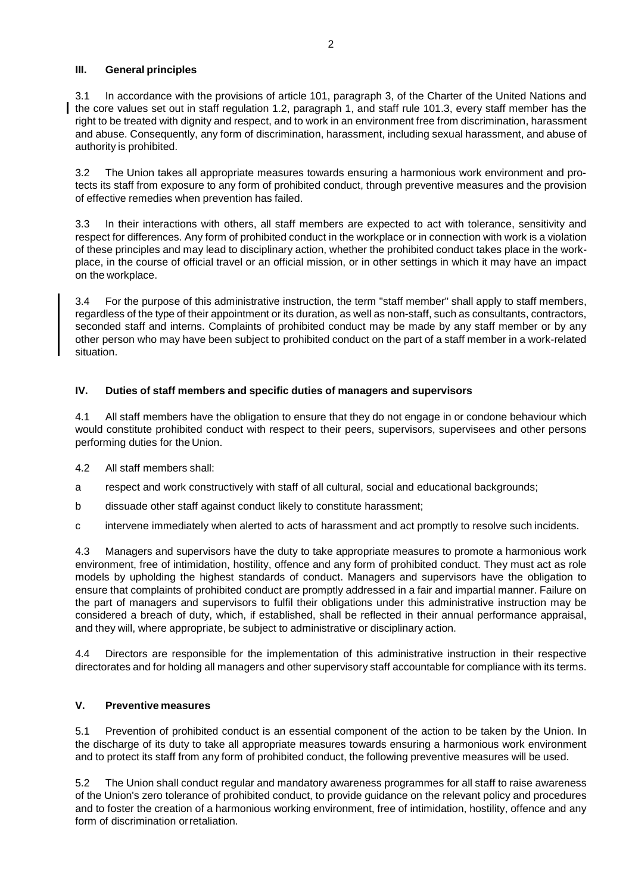## **III. General principles**

3.1 In accordance with the provisions of article 101, paragraph 3, of the Charter of the United Nations and the core values set out in staff regulation 1.2, paragraph 1, and staff rule 101.3, every staff member has the right to be treated with dignity and respect, and to work in an environment free from discrimination, harassment and abuse. Consequently, any form of discrimination, harassment, including sexual harassment, and abuse of authority is prohibited.

3.2 The Union takes all appropriate measures towards ensuring a harmonious work environment and protects its staff from exposure to any form of prohibited conduct, through preventive measures and the provision of effective remedies when prevention has failed.

3.3 In their interactions with others, all staff members are expected to act with tolerance, sensitivity and respect for differences. Any form of prohibited conduct in the workplace or in connection with work is a violation of these principles and may lead to disciplinary action, whether the prohibited conduct takes place in the workplace, in the course of official travel or an official mission, or in other settings in which it may have an impact on the workplace.

3.4 For the purpose of this administrative instruction, the term "staff member" shall apply to staff members, regardless of the type of their appointment or its duration, as well as non-staff, such as consultants, contractors, seconded staff and interns. Complaints of prohibited conduct may be made by any staff member or by any other person who may have been subject to prohibited conduct on the part of a staff member in a work-related situation.

## **IV. Duties of staff members and specific duties of managers and supervisors**

4.1 All staff members have the obligation to ensure that they do not engage in or condone behaviour which would constitute prohibited conduct with respect to their peers, supervisors, supervisees and other persons performing duties for the Union.

- 4.2 All staff members shall:
- a respect and work constructively with staff of all cultural, social and educational backgrounds;
- b dissuade other staff against conduct likely to constitute harassment;
- c intervene immediately when alerted to acts of harassment and act promptly to resolve such incidents.

4.3 Managers and supervisors have the duty to take appropriate measures to promote a harmonious work environment, free of intimidation, hostility, offence and any form of prohibited conduct. They must act as role models by upholding the highest standards of conduct. Managers and supervisors have the obligation to ensure that complaints of prohibited conduct are promptly addressed in a fair and impartial manner. Failure on the part of managers and supervisors to fulfil their obligations under this administrative instruction may be considered a breach of duty, which, if established, shall be reflected in their annual performance appraisal, and they will, where appropriate, be subject to administrative or disciplinary action.

4.4 Directors are responsible for the implementation of this administrative instruction in their respective directorates and for holding all managers and other supervisory staff accountable for compliance with its terms.

## **V. Preventive measures**

5.1 Prevention of prohibited conduct is an essential component of the action to be taken by the Union. In the discharge of its duty to take all appropriate measures towards ensuring a harmonious work environment and to protect its staff from any form of prohibited conduct, the following preventive measures will be used.

5.2 The Union shall conduct regular and mandatory awareness programmes for all staff to raise awareness of the Union's zero tolerance of prohibited conduct, to provide guidance on the relevant policy and procedures and to foster the creation of a harmonious working environment, free of intimidation, hostility, offence and any form of discrimination orretaliation.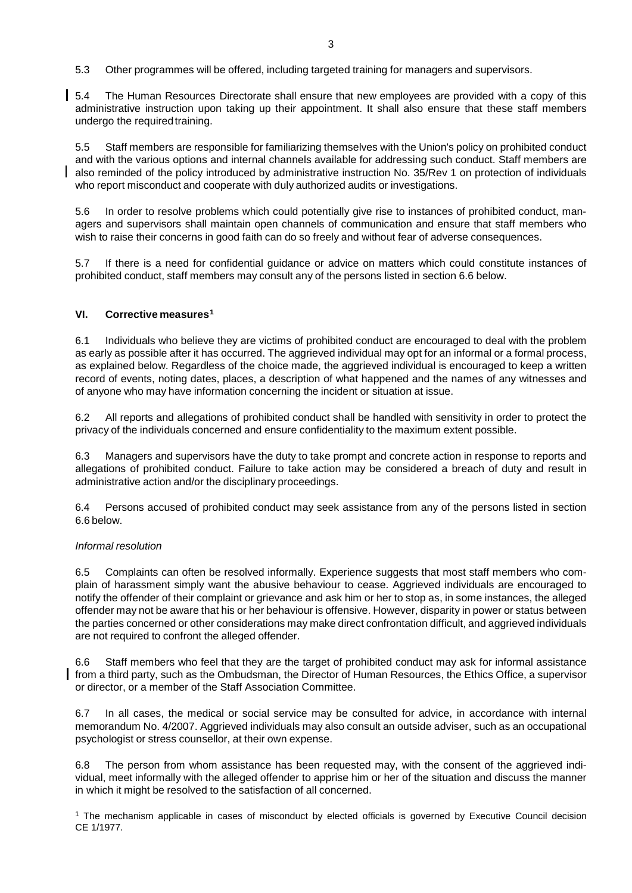5.3 Other programmes will be offered, including targeted training for managers and supervisors.

5.4 The Human Resources Directorate shall ensure that new employees are provided with a copy of this administrative instruction upon taking up their appointment. It shall also ensure that these staff members undergo the required training.

5.5 Staff members are responsible for familiarizing themselves with the Union's policy on prohibited conduct and with the various options and internal channels available for addressing such conduct. Staff members are also reminded of the policy introduced by administrative instruction No. 35/Rev 1 on protection of individuals who report misconduct and cooperate with duly authorized audits or investigations.

5.6 In order to resolve problems which could potentially give rise to instances of prohibited conduct, managers and supervisors shall maintain open channels of communication and ensure that staff members who wish to raise their concerns in good faith can do so freely and without fear of adverse consequences.

5.7 If there is a need for confidential guidance or advice on matters which could constitute instances of prohibited conduct, staff members may consult any of the persons listed in section 6.6 below.

### **VI. Corrective measures[1](#page-2-0)**

6.1 Individuals who believe they are victims of prohibited conduct are encouraged to deal with the problem as early as possible after it has occurred. The aggrieved individual may opt for an informal or a formal process, as explained below. Regardless of the choice made, the aggrieved individual is encouraged to keep a written record of events, noting dates, places, a description of what happened and the names of any witnesses and of anyone who may have information concerning the incident or situation at issue.

6.2 All reports and allegations of prohibited conduct shall be handled with sensitivity in order to protect the privacy of the individuals concerned and ensure confidentiality to the maximum extent possible.

6.3 Managers and supervisors have the duty to take prompt and concrete action in response to reports and allegations of prohibited conduct. Failure to take action may be considered a breach of duty and result in administrative action and/or the disciplinary proceedings.

6.4 Persons accused of prohibited conduct may seek assistance from any of the persons listed in section 6.6 below.

#### *Informal resolution*

6.5 Complaints can often be resolved informally. Experience suggests that most staff members who complain of harassment simply want the abusive behaviour to cease. Aggrieved individuals are encouraged to notify the offender of their complaint or grievance and ask him or her to stop as, in some instances, the alleged offender may not be aware that his or her behaviour is offensive. However, disparity in power or status between the parties concerned or other considerations may make direct confrontation difficult, and aggrieved individuals are not required to confront the alleged offender.

6.6 Staff members who feel that they are the target of prohibited conduct may ask for informal assistance from a third party, such as the Ombudsman, the Director of Human Resources, the Ethics Office, a supervisor or director, or a member of the Staff Association Committee.

6.7 In all cases, the medical or social service may be consulted for advice, in accordance with internal memorandum No. 4/2007. Aggrieved individuals may also consult an outside adviser, such as an occupational psychologist or stress counsellor, at their own expense.

6.8 The person from whom assistance has been requested may, with the consent of the aggrieved individual, meet informally with the alleged offender to apprise him or her of the situation and discuss the manner in which it might be resolved to the satisfaction of all concerned.

<span id="page-2-0"></span><sup>1</sup> The mechanism applicable in cases of misconduct by elected officials is governed by Executive Council decision CE 1/1977.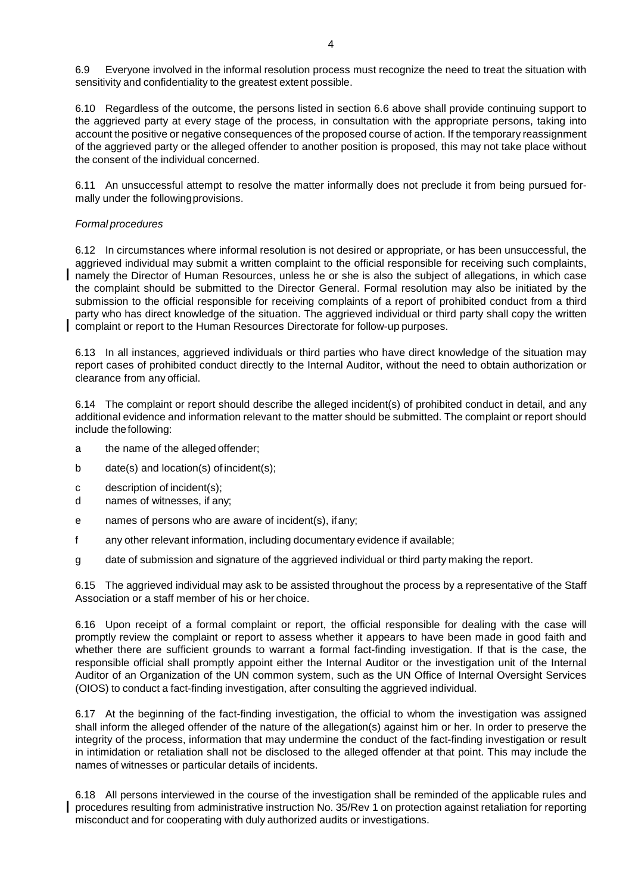6.9 Everyone involved in the informal resolution process must recognize the need to treat the situation with sensitivity and confidentiality to the greatest extent possible.

6.10 Regardless of the outcome, the persons listed in section 6.6 above shall provide continuing support to the aggrieved party at every stage of the process, in consultation with the appropriate persons, taking into account the positive or negative consequences of the proposed course of action. If the temporary reassignment of the aggrieved party or the alleged offender to another position is proposed, this may not take place without the consent of the individual concerned.

6.11 An unsuccessful attempt to resolve the matter informally does not preclude it from being pursued formally under the followingprovisions.

#### *Formal procedures*

6.12 In circumstances where informal resolution is not desired or appropriate, or has been unsuccessful, the aggrieved individual may submit a written complaint to the official responsible for receiving such complaints, namely the Director of Human Resources, unless he or she is also the subject of allegations, in which case the complaint should be submitted to the Director General. Formal resolution may also be initiated by the submission to the official responsible for receiving complaints of a report of prohibited conduct from a third party who has direct knowledge of the situation. The aggrieved individual or third party shall copy the written complaint or report to the Human Resources Directorate for follow-up purposes.

6.13 In all instances, aggrieved individuals or third parties who have direct knowledge of the situation may report cases of prohibited conduct directly to the Internal Auditor, without the need to obtain authorization or clearance from any official.

6.14 The complaint or report should describe the alleged incident(s) of prohibited conduct in detail, and any additional evidence and information relevant to the matter should be submitted. The complaint or report should include thefollowing:

- a the name of the alleged offender;
- b date(s) and location(s) of incident(s);
- c description of incident(s);
- d names of witnesses, if any;
- e names of persons who are aware of incident(s), ifany;
- f any other relevant information, including documentary evidence if available;
- g date of submission and signature of the aggrieved individual or third party making the report.

6.15 The aggrieved individual may ask to be assisted throughout the process by a representative of the Staff Association or a staff member of his or her choice.

6.16 Upon receipt of a formal complaint or report, the official responsible for dealing with the case will promptly review the complaint or report to assess whether it appears to have been made in good faith and whether there are sufficient grounds to warrant a formal fact-finding investigation. If that is the case, the responsible official shall promptly appoint either the Internal Auditor or the investigation unit of the Internal Auditor of an Organization of the UN common system, such as the UN Office of Internal Oversight Services (OIOS) to conduct a fact-finding investigation, after consulting the aggrieved individual.

6.17 At the beginning of the fact-finding investigation, the official to whom the investigation was assigned shall inform the alleged offender of the nature of the allegation(s) against him or her. In order to preserve the integrity of the process, information that may undermine the conduct of the fact-finding investigation or result in intimidation or retaliation shall not be disclosed to the alleged offender at that point. This may include the names of witnesses or particular details of incidents.

6.18 All persons interviewed in the course of the investigation shall be reminded of the applicable rules and procedures resulting from administrative instruction No. 35/Rev 1 on protection against retaliation for reporting misconduct and for cooperating with duly authorized audits or investigations.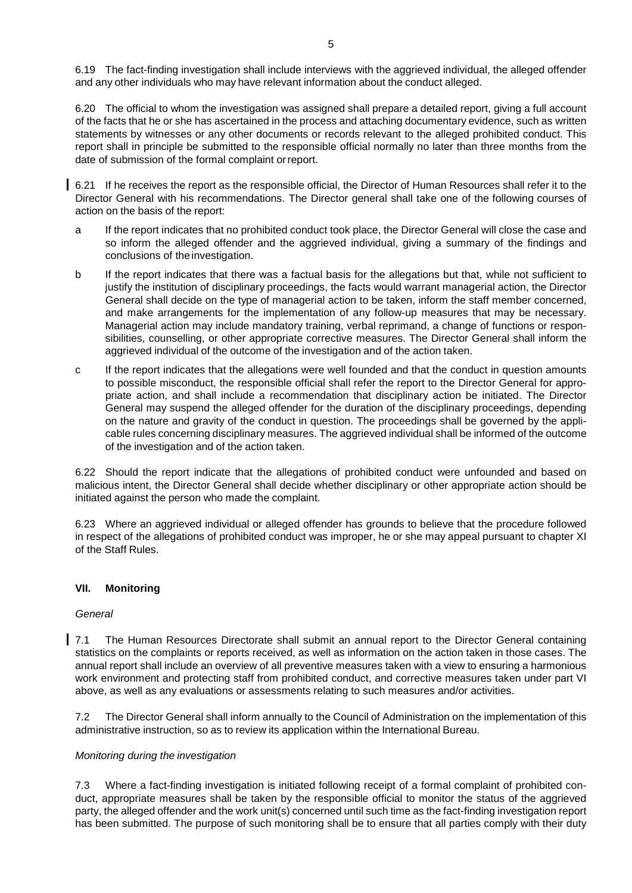6.19 The fact-finding investigation shall include interviews with the aggrieved individual, the alleged offender and any other individuals who may have relevant information about the conduct alleged.

6.20 The official to whom the investigation was assigned shall prepare a detailed report, giving a full account of the facts that he or she has ascertained in the process and attaching documentary evidence, such as written statements by witnesses or any other documents or records relevant to the alleged prohibited conduct. This report shall in principle be submitted to the responsible official normally no later than three months from the date of submission of the formal complaint orreport.

6.21 If he receives the report as the responsible official, the Director of Human Resources shall refer it to the Director General with his recommendations. The Director general shall take one of the following courses of action on the basis of the report:

- a If the report indicates that no prohibited conduct took place, the Director General will close the case and so inform the alleged offender and the aggrieved individual, giving a summary of the findings and conclusions of theinvestigation.
- b If the report indicates that there was a factual basis for the allegations but that, while not sufficient to justify the institution of disciplinary proceedings, the facts would warrant managerial action, the Director General shall decide on the type of managerial action to be taken, inform the staff member concerned, and make arrangements for the implementation of any follow-up measures that may be necessary. Managerial action may include mandatory training, verbal reprimand, a change of functions or responsibilities, counselling, or other appropriate corrective measures. The Director General shall inform the aggrieved individual of the outcome of the investigation and of the action taken.
- c If the report indicates that the allegations were well founded and that the conduct in question amounts to possible misconduct, the responsible official shall refer the report to the Director General for appropriate action, and shall include a recommendation that disciplinary action be initiated. The Director General may suspend the alleged offender for the duration of the disciplinary proceedings, depending on the nature and gravity of the conduct in question. The proceedings shall be governed by the applicable rules concerning disciplinary measures. The aggrieved individual shall be informed of the outcome of the investigation and of the action taken.

6.22 Should the report indicate that the allegations of prohibited conduct were unfounded and based on malicious intent, the Director General shall decide whether disciplinary or other appropriate action should be initiated against the person who made the complaint.

6.23 Where an aggrieved individual or alleged offender has grounds to believe that the procedure followed in respect of the allegations of prohibited conduct was improper, he or she may appeal pursuant to chapter XI of the Staff Rules.

## **VII. Monitoring**

#### *General*

7.1 The Human Resources Directorate shall submit an annual report to the Director General containing statistics on the complaints or reports received, as well as information on the action taken in those cases. The annual report shall include an overview of all preventive measures taken with a view to ensuring a harmonious work environment and protecting staff from prohibited conduct, and corrective measures taken under part VI above, as well as any evaluations or assessments relating to such measures and/or activities.

7.2 The Director General shall inform annually to the Council of Administration on the implementation of this administrative instruction, so as to review its application within the International Bureau.

#### *Monitoring during the investigation*

7.3 Where a fact-finding investigation is initiated following receipt of a formal complaint of prohibited conduct, appropriate measures shall be taken by the responsible official to monitor the status of the aggrieved party, the alleged offender and the work unit(s) concerned until such time as the fact-finding investigation report has been submitted. The purpose of such monitoring shall be to ensure that all parties comply with their duty